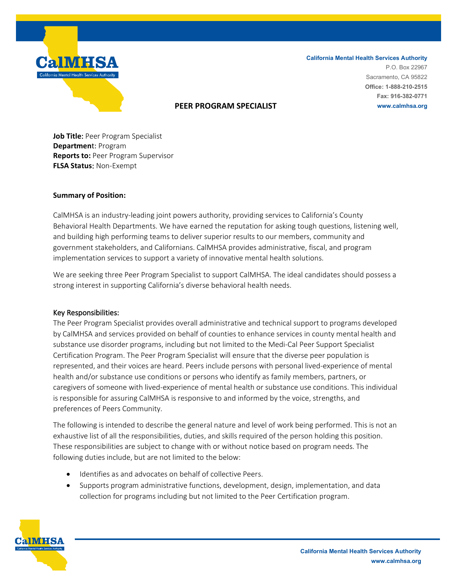

#### **California Mental Health Services Authority** P.O. Box 22967 Sacramento, CA 95822 **Office: 1-888-210-2515 Fax: 916-382-0771 www.calmhsa.org**

### **PEER PROGRAM SPECIALIST**

**Job Title**: Peer Program Specialist **Departmen**t: Program **Reports to:** Peer Program Supervisor **FLSA Status**: Non-Exempt

### **Summary of Position:**

CalMHSA is an industry-leading joint powers authority, providing services to California's County Behavioral Health Departments. We have earned the reputation for asking tough questions, listening well, and building high performing teams to deliver superior results to our members, community and government stakeholders, and Californians. CalMHSA provides administrative, fiscal, and program implementation services to support a variety of innovative mental health solutions.

We are seeking three Peer Program Specialist to support CalMHSA. The ideal candidates should possess a strong interest in supporting California's diverse behavioral health needs.

### Key Responsibilities:

The Peer Program Specialist provides overall administrative and technical support to programs developed by CalMHSA and services provided on behalf of counties to enhance services in county mental health and substance use disorder programs, including but not limited to the Medi-Cal Peer Support Specialist Certification Program. The Peer Program Specialist will ensure that the diverse peer population is represented, and their voices are heard. Peers include persons with personal lived-experience of mental health and/or substance use conditions or persons who identify as family members, partners, or caregivers of someone with lived-experience of mental health or substance use conditions. This individual is responsible for assuring CalMHSA is responsive to and informed by the voice, strengths, and preferences of Peers Community.

The following is intended to describe the general nature and level of work being performed. This is not an exhaustive list of all the responsibilities, duties, and skills required of the person holding this position. These responsibilities are subject to change with or without notice based on program needs. The following duties include, but are not limited to the below:

- Identifies as and advocates on behalf of collective Peers.
- Supports program administrative functions, development, design, implementation, and data collection for programs including but not limited to the Peer Certification program.